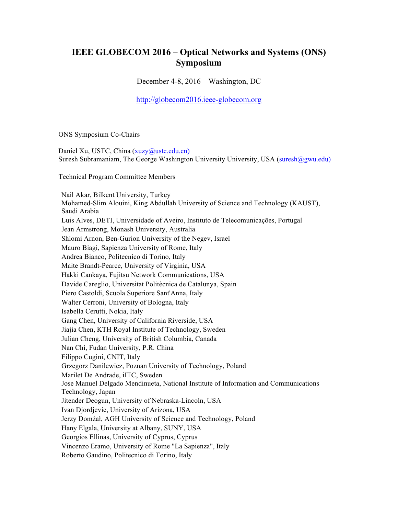## **IEEE GLOBECOM 2016 – Optical Networks and Systems (ONS) Symposium**

December 4-8, 2016 – Washington, DC

http://globecom2016.ieee-globecom.org

ONS Symposium Co-Chairs

Daniel Xu, USTC, China (xuzy@ustc.edu.cn) Suresh Subramaniam, The George Washington University University, USA (suresh@gwu.edu)

Technical Program Committee Members

Nail Akar, Bilkent University, Turkey Mohamed-Slim Alouini, King Abdullah University of Science and Technology (KAUST), Saudi Arabia Luis Alves, DETI, Universidade of Aveiro, Instituto de Telecomunicações, Portugal Jean Armstrong, Monash University, Australia Shlomi Arnon, Ben-Gurion University of the Negev, Israel Mauro Biagi, Sapienza University of Rome, Italy Andrea Bianco, Politecnico di Torino, Italy Maite Brandt-Pearce, University of Virginia, USA Hakki Cankaya, Fujitsu Network Communications, USA Davide Careglio, Universitat Politècnica de Catalunya, Spain Piero Castoldi, Scuola Superiore Sant'Anna, Italy Walter Cerroni, University of Bologna, Italy Isabella Cerutti, Nokia, Italy Gang Chen, University of California Riverside, USA Jiajia Chen, KTH Royal Institute of Technology, Sweden Julian Cheng, University of British Columbia, Canada Nan Chi, Fudan University, P.R. China Filippo Cugini, CNIT, Italy Grzegorz Danilewicz, Poznan University of Technology, Poland Marilet De Andrade, iITC, Sweden Jose Manuel Delgado Mendinueta, National Institute of Information and Communications Technology, Japan Jitender Deogun, University of Nebraska-Lincoln, USA Ivan Djordjevic, University of Arizona, USA Jerzy Domżał, AGH University of Science and Technology, Poland Hany Elgala, University at Albany, SUNY, USA Georgios Ellinas, University of Cyprus, Cyprus Vincenzo Eramo, University of Rome "La Sapienza", Italy Roberto Gaudino, Politecnico di Torino, Italy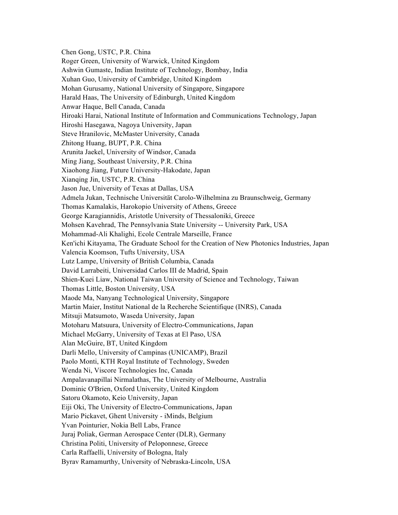Chen Gong, USTC, P.R. China Roger Green, University of Warwick, United Kingdom Ashwin Gumaste, Indian Institute of Technology, Bombay, India Xuhan Guo, University of Cambridge, United Kingdom Mohan Gurusamy, National University of Singapore, Singapore Harald Haas, The University of Edinburgh, United Kingdom Anwar Haque, Bell Canada, Canada Hiroaki Harai, National Institute of Information and Communications Technology, Japan Hiroshi Hasegawa, Nagoya University, Japan Steve Hranilovic, McMaster University, Canada Zhitong Huang, BUPT, P.R. China Arunita Jaekel, University of Windsor, Canada Ming Jiang, Southeast University, P.R. China Xiaohong Jiang, Future University-Hakodate, Japan Xianqing Jin, USTC, P.R. China Jason Jue, University of Texas at Dallas, USA Admela Jukan, Technische Universität Carolo-Wilhelmina zu Braunschweig, Germany Thomas Kamalakis, Harokopio University of Athens, Greece George Karagiannidis, Aristotle University of Thessaloniki, Greece Mohsen Kavehrad, The Pennsylvania State University -- University Park, USA Mohammad-Ali Khalighi, Ecole Centrale Marseille, France Ken'ichi Kitayama, The Graduate School for the Creation of New Photonics Industries, Japan Valencia Koomson, Tufts University, USA Lutz Lampe, University of British Columbia, Canada David Larrabeiti, Universidad Carlos III de Madrid, Spain Shien-Kuei Liaw, National Taiwan University of Science and Technology, Taiwan Thomas Little, Boston University, USA Maode Ma, Nanyang Technological University, Singapore Martin Maier, Institut National de la Recherche Scientifique (INRS), Canada Mitsuji Matsumoto, Waseda University, Japan Motoharu Matsuura, University of Electro-Communications, Japan Michael McGarry, University of Texas at El Paso, USA Alan McGuire, BT, United Kingdom Darli Mello, University of Campinas (UNICAMP), Brazil Paolo Monti, KTH Royal Institute of Technology, Sweden Wenda Ni, Viscore Technologies Inc, Canada Ampalavanapillai Nirmalathas, The University of Melbourne, Australia Dominic O'Brien, Oxford University, United Kingdom Satoru Okamoto, Keio University, Japan Eiji Oki, The University of Electro-Communications, Japan Mario Pickavet, Ghent University - iMinds, Belgium Yvan Pointurier, Nokia Bell Labs, France Juraj Poliak, German Aerospace Center (DLR), Germany Christina Politi, University of Peloponnese, Greece Carla Raffaelli, University of Bologna, Italy Byrav Ramamurthy, University of Nebraska-Lincoln, USA